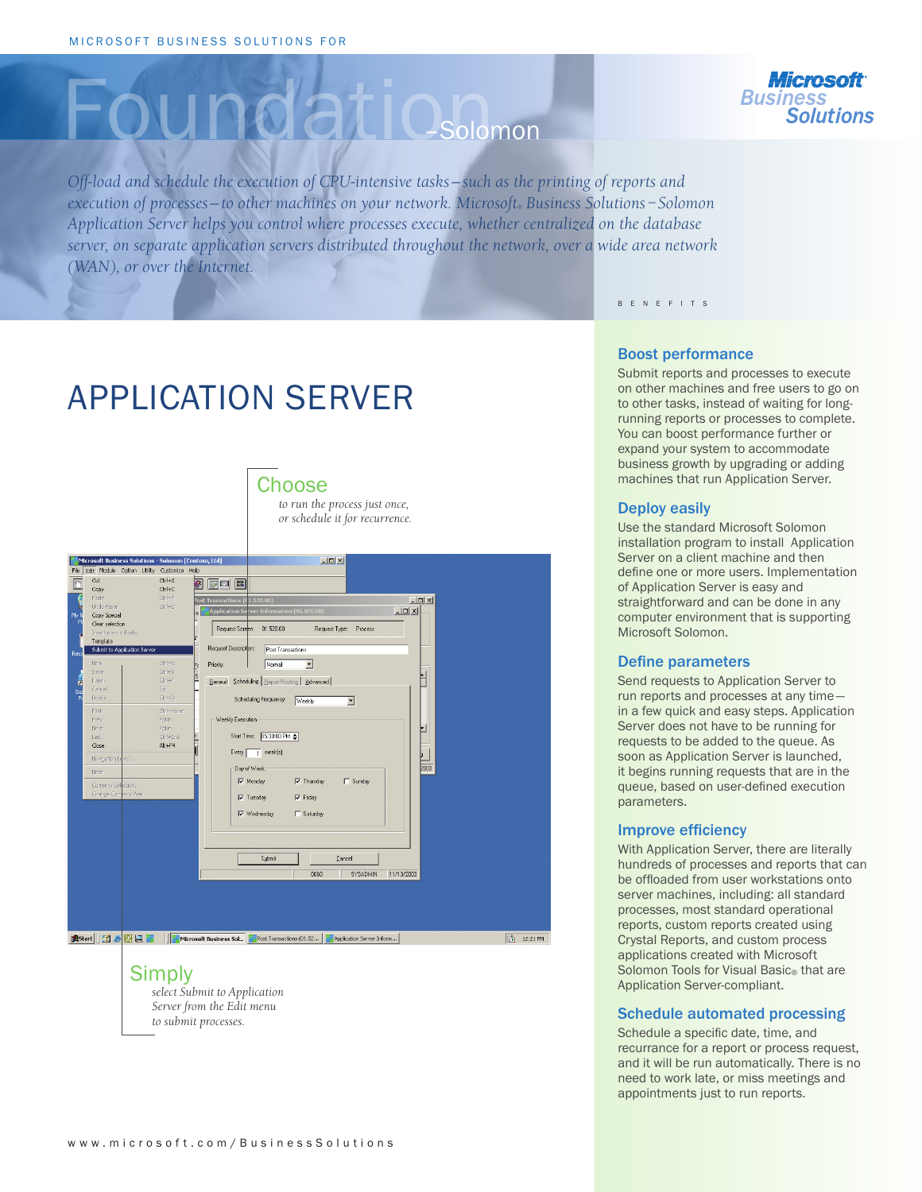# Foundatio



*Off-load and schedule the execution of CPU-intensive tasks — such as the printing of reports and execution of processes — to other machines on your network. Microsoft® Business Solutions – Solomon Application Server helps you control where processes execute, whether centralized on the database server, on separate application servers distributed throughout the network, over a wide area network (WAN), or over the Internet.* 

B E N E F I T S

# APPLICATION SERVER

### Choose

*to run the process just once, or schedule it for recurrence.*



## Simply

*select Submit to Application Server from the Edit menu to submit processes.* 

#### Boost performance

Submit reports and processes to execute on other machines and free users to go on to other tasks, instead of waiting for longrunning reports or processes to complete. You can boost performance further or expand your system to accommodate business growth by upgrading or adding machines that run Application Server.

#### Deploy easily

Use the standard Microsoft Solomon installation program to install Application Server on a client machine and then define one or more users. Implementation of Application Server is easy and straightforward and can be done in any computer environment that is supporting Microsoft Solomon.

#### Define parameters

Send requests to Application Server to run reports and processes at any time in a few quick and easy steps. Application Server does not have to be running for requests to be added to the queue. As soon as Application Server is launched, it begins running requests that are in the queue, based on user-defined execution parameters.

#### Improve efficiency

With Application Server, there are literally hundreds of processes and reports that can be offloaded from user workstations onto server machines, including: all standard processes, most standard operational reports, custom reports created using Crystal Reports, and custom process applications created with Microsoft Solomon Tools for Visual Basic® that are Application Server-compliant.

#### Schedule automated processing

Schedule a specific date, time, and recurrance for a report or process request, and it will be run automatically. There is no need to work late, or miss meetings and appointments just to run reports.